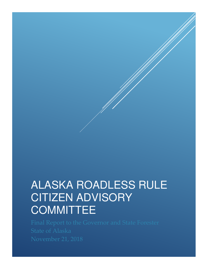# ALASKA ROADLESS RULE CITIZEN ADVISORY **COMMITTEE**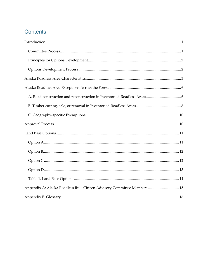# Contents

| Appendix A: Alaska Roadless Rule Citizen Advisory Committee Members  15 |  |
|-------------------------------------------------------------------------|--|
|                                                                         |  |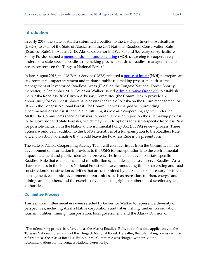#### <span id="page-2-0"></span>**Introduction**

In early 2018, the State of Alaska submitted a petition to the US Department of Agriculture (USDA) to exempt the State of Alaska from the 2001 National Roadless Conservation Rule (Roadless Rule). In August 2018, Alaska Governor Bill Walker and Secretary of Agriculture Sonny Purdue signed a [memorandum of understanding](http://forestry.alaska.gov/Assets/pdfs/whats_new/MOU%20USFS%20AK%20State%20Roadless.pdf) (MOU), agreeing to cooperatively undertake a state-specific roadless rulemaking process to address roadless management and access concerns on the Tongass National Forest.<sup>1</sup>

In late August 2018, the US Forest Service (USFS) released a <u>notice of intent</u> (NOI) to prepare an environmental impact statement and initiate a public rulemaking process to address the management of Inventoried Roadless Areas (IRAs) on the Tongass National Forest. Shortly thereafter, in September 2018, Governor Walker issued **Administrative Order 299** to establish the Alaska Roadless Rule Citizen Advisory Committee (the Committee) to provide an opportunity for Southeast Alaskans to advise the State of Alaska on the future management of IRAs in the Tongass National Forest. The Committee was charged with providing recommendations to assist the State in fulfilling its role as a cooperating agency under the MOU. The Committee's specific task was to present a written report on the rulemaking process to the Governor and State Forester, which may include options for a state-specific Roadless Rule for possible inclusion in the National Environmental Policy Act (NEPA) review process. These options would be in addition to the USFS alternatives of a full exemption to the Roadless Rule and a "no action" alternative that would leave the Roadless Rule in its present form.

The State of Alaska Cooperating Agency Team will consider input from the Committee in the development of information it provides to the USFS for incorporation into the environmental impact statement and public rulemaking process. The intent is to develop a state-specific Roadless Rule that establishes a land classification system designed to conserve Roadless Area characteristics in the Tongass National Forest while accommodating timber harvesting and road construction/reconstruction activities that are determined by the State to be necessary for forest management, economic development opportunities, such as recreation, tourism, energy, and mining, among others, and the exercise of valid existing rights or other non-discretionary legal authorities.

#### <span id="page-2-1"></span>**Committee Process**

Thirteen Committee members were selected by Governor Walker to represent a diversity of perspectives, including Alaska Native corporations and tribes, fishing, timber, conservation, tourism, utilities, mining, transportation, local government, and the Alaska Division of

<sup>1</sup> The rulemaking process is referred to as the Alaska Roadless Rule, but at this time applies only to the Tongass National Forest and not the Chugach National Forest. Hereafter, the rulemaking process will be referred to as the Alaska Roadless Rule, but the Committee was charged with providing recommendations for the Tongass National Forest only.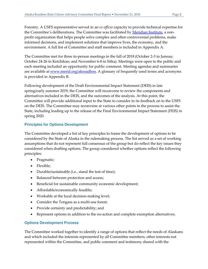Forestry. A USFS representative served in an *ex officio* capacity to provide technical expertise for the Committee's deliberations. The Committee was facilitated by *Meridian Institute*, a nonprofit organization that helps people solve complex and often controversial problems, make informed decisions, and implement solutions that improve lives, the economy, and the environment. A full list of Committee and staff members is included in Appendix A.

The Committee met for three in-person meetings in the fall of 2018 (October 2-3 in Juneau; October 24-26 in Ketchikan; and November 6-8 in Sitka). Meetings were open to the public and each meeting included an opportunity for public comment. Meeting agendas and summaries are available at <u>www.merid.org/akroadless</u>. A glossary of frequently used terms and acronyms is provided in Appendix B.

Following development of the Draft Environmental Impact Statement (DEIS) in late spring/early summer 2019, the Committee will reconvene to review the components and alternatives included in the DEIS, and the outcomes of the analysis. At this point, the Committee will provide additional input to the State to consider in its feedback on to the USFS on the DEIS. The Committee may reconvene at various other points in the process to assist the State, including leading up to the release of the Final Environmental Impact Statement (FEIS) in spring 2020.

#### <span id="page-3-0"></span>**Principles for Options Development**

The Committee developed a list of key principles to frame the development of options to be considered by the State of Alaska in the rulemaking process. The list served as a set of working assumptions that do not represent full consensus of the group but do reflect the key issues they considered when drafting options. The group considered whether options reflect the following principles:

- Pragmatic;
- Flexible;
- Durable/sustainable (i.e., stand the test of time);
- Balanced between protection and access;
- Beneficial for sustainable community economic development;
- Affordable/economically feasible;
- Workable at the local decision-making level;
- Consider the Tongass as a multi-use forest;
- Provide certainty and predictability; and
- Represent options in addition to the no-action and complete exemption alternatives.

#### <span id="page-3-1"></span>**Options Development Process**

The Committee worked together to identify a range of options that reflect the needs of Alaskans and which included the interests represented by all Committee members, other interests not represented within the Committee, and public comment and testimony shared with the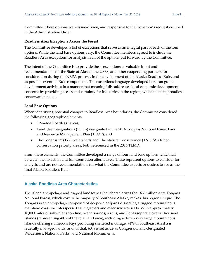Committee. These options were issue-driven, and responsive to the Governor's request outlined in the Administrative Order.

#### **Roadless Area Exceptions Across the Forest**

The Committee developed a list of exceptions that serve as an integral part of each of the four options. While the land base options vary, the Committee members agreed to include the Roadless Area exceptions for analysis in all of the options put forward by the Committee.

The intent of the Committee is to provide these exceptions as valuable input and recommendations for the State of Alaska, the USFS, and other cooperating partners for consideration during the NEPA process, in the development of the Alaska Roadless Rule, and as possible eventual Rule components. The exceptions language developed here can guide development activities in a manner that meaningfully addresses local economic development concerns by providing access and certainty for industries in the region, while balancing roadless conservation needs.

#### **Land Base Options**

When identifying potential changes to Roadless Area boundaries, the Committee considered the following geographic elements:

- "Roaded Roadless" areas;
- Land Use Designations (LUDs) designated in the 2016 Tongass National Forest Land and Resource Management Plan (TLMP); and
- The Tongass 77 (T77) watersheds and The Nature Conservancy (TNC)/Audubon conservation priority areas, both referenced in the 2016 TLMP.

From these elements, the Committee developed a range of four land base options which fall between the no action and full exemption alternatives. These represent options to consider for analysis and are not recommendations for what the Committee expects or desires to see as the final Alaska Roadless Rule.

#### <span id="page-4-0"></span>**Alaska Roadless Area Characteristics**

The island archipelago and rugged landscapes that characterizes the 16.7 million-acre Tongass National Forest, which covers the majority of Southeast Alaska, makes this region unique. The Tongass is an archipelago composed of deep-water fjords dissecting a rugged mountainous mainland coastline interspersed with glaciers and extensive ice-fields. With approximately 18,000 miles of saltwater shoreline, ocean sounds, straits, and fjords separate over a thousand islands (representing 40% of the total land area), including a dozen very large mountainous islands offering numerous bays providing sheltered moorage. 94% of Southeast Alaska is federally managed lands, and, of that, 60% is set aside as Congressionally-designated Wilderness, National Parks, and National Monuments.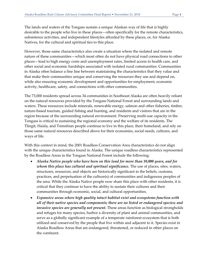The lands and waters of the Tongass sustain a unique Alaskan way of life that is highly desirable to the people who live in these places—often specifically for the remote characteristics, subsistence activities, and independent lifestyles afforded by these places, or, for Alaska Natives, for the cultural and spiritual ties to this place.

However, those same characteristics also create a situation where the isolated and remote nature of these communities—which most often do not have physical road connections to other places—lead to high energy costs and unemployment rates, limited access to health care, and other social and economic hardships associated with isolated rural communities. Communities in Alaska often balance a fine line between maintaining the characteristics that they value and that make their communities unique and conserving the resources they use and depend on, while also ensuring economic development and opportunities for employment, economic activity, healthcare, safety, and connections with other communities.

The 73,000 residents spread across 34 communities in Southeast Alaska are often heavily reliant on the natural resources provided by the Tongass National Forest and surrounding lands and waters. These resources include minerals, renewable energy, salmon and other fisheries, timber, nature-based tourism, guided fishing and hunting, and residents and visitors that are in the region because of the surrounding natural environment. Preserving multi-use capacity in the Tongass is critical to sustaining the regional economy and the welfare of its residents. The Tlingit, Haida, and Tsimshian people continue to live in this place, their homeland, and rely on those same natural resources described above for their economies, social needs, cultures, and ways of life.

With this context in mind, the 2001 Roadless Conservation Area characteristics do not align with the unique characteristics found in Alaska. The unique roadless characteristics represented by the Roadless Areas in the Tongass National Forest include the following:

- *Alaska Native people who have been on this land for more than 10,000 years, and for whom this place has cultural and spiritual significance.* The use of places, sites, waters, structures, resources, and objects are historically significant in the beliefs, customs, practices, and perpetuation of the culture(s) of communities and indigenous peoples of the area. While the Alaska Native people now share this place with other residents, it is critical that they continue to have the ability to sustain their cultures and their communities through economic, social, and cultural opportunities.
- *Expansive areas where high quality intact habitat exist and ecosystems function with all of their native species and components; there are no listed or endangered species; and invasive species are generally not present.* These areas function as biological strongholds and refuges for many species, harbor a diversity of plant and animal communities, and serve as a globally significant example of a temperate rainforest ecosystem that is both utilized and conserved by the people that live within and adjacent to it. Species exist in Alaska Roadless Areas that are endangered, threatened, or reduced in other places on the continent.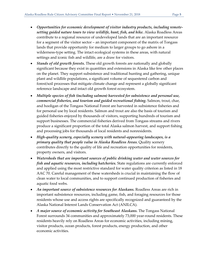- *Opportunities for economic development of visitor industry products, including remotesetting guided nature tours to view wildlife, hunt, fish, and hike.* Alaska Roadless Areas contribute to a regional resource of undeveloped lands that are an important resource for a segment of the visitor sector – an important component of the matrix of Tongass lands that provide opportunity for medium to larger groups to go ashore in a wilderness-type setting. The intact ecological systems in these areas, with natural settings and iconic fish and wildlife, are a draw for visitors.
- *Stands of old growth forests.* These old growth forests are nationally and globally significant because they exist in quantities and extensions in Alaska like few other places on the planet. They support subsistence and traditional hunting and gathering, unique plant and wildlife populations, a significant volume of sequestered carbon and forest/soil processes that mitigate climate change and represent a globally significant reference landscape and intact old growth forest ecosystem.
- *Multiple species of fish (including salmon) harvested for subsistence and personal use, commercial fisheries, and tourism and guided recreational fishing.* Salmon, trout, char, and hooligan of the Tongass National Forest are harvested in subsistence fisheries and for personal use by local residents. Salmon and trout are also the basis of tourism and guided fisheries enjoyed by thousands of visitors, supporting hundreds of tourism and support businesses. The commercial fisheries derived from Tongass streams and rivers produce a significant proportion of the total Alaska salmon harvest, and support fishing and processing jobs for thousands of local residents and nonresidents.
- *High-quality scenery, especially scenery with natural-appearing landscapes, is a primary quality that people value in Alaska Roadless Areas.* Quality scenery contributes directly to the quality of life and recreation opportunities for residents, property owners, and visitors.
- *Watersheds that are important sources of public drinking water and water sources for fish and aquatic resources, including hatcheries.* State regulations are currently enforced and applied using the most restrictive standard for water quality criterion as listed in 18 AAC 70. Careful management of these watersheds is crucial in maintaining the flow of clean water to local communities, and to support continued production of fisheries and aquatic food webs.
- *An important source of subsistence resources for Alaskans*. Roadless Areas are rich in important subsistence resources, including game, fish, and foraging resources for those residents whose use and access rights are specifically recognized and guaranteed by the Alaska National Interest Lands Conservation Act (ANILCA).
- *A major source of economic activity for Southeast Alaskans.* The Tongass National Forest surrounds 34 communities and approximately 73,000 year-round residents. These residents heavily rely on Roadless Areas for economic activities, including mining, visitor products, ocean products, forest products, energy production, and other economic activities.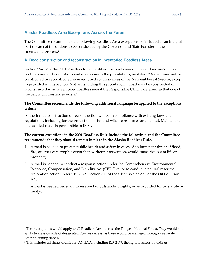### <span id="page-7-0"></span>**Alaska Roadless Area Exceptions Across the Forest**

The Committee recommends the following Roadless Area exceptions be included as an integral part of each of the options to be considered by the Governor and State Forester in the rulemaking process.<sup>2</sup>

#### <span id="page-7-1"></span>**A. Road construction and reconstruction in Inventoried Roadless Areas**

Section 294.12 of the 2001 Roadless Rule identified the road construction and reconstruction prohibitions, and exemptions and exceptions to the prohibitions, as stated: "A road may not be constructed or reconstructed in inventoried roadless areas of the National Forest System, except as provided in this section. Notwithstanding this prohibition, a road may be constructed or reconstructed in an inventoried roadless area if the Responsible Official determines that one of the below circumstances exists."

#### **The Committee recommends the following additional language be applied to the exceptions criteria:**

All such road construction or reconstruction will be in compliance with existing laws and regulations, including for the protection of fish and wildlife resources and habitat. Maintenance of classified roads is permissible in IRAs.

#### **The current exceptions in the 2001 Roadless Rule include the following, and the Committee recommends that they should remain in place in the Alaska Roadless Rule.**

- 1. A road is needed to protect public health and safety in cases of an imminent threat of flood, fire, or other catastrophic event that, without intervention, would cause the loss of life or property;
- 2. A road is needed to conduct a response action under the Comprehensive Environmental Response, Compensation, and Liability Act (CERCLA) or to conduct a natural resource restoration action under CERCLA, Section 311 of the Clean Water Act, or the Oil Pollution Act;
- 3. A road is needed pursuant to reserved or outstanding rights, or as provided for by statute or treaty<sup>3</sup> ;

<sup>2</sup> These exceptions would apply to all Roadless Areas across the Tongass National Forest. They would not apply to areas outside of designated Roadless Areas, as these would be managed through a separate Forest planning process.

<sup>3</sup> This includes all rights codified in ANILCA, including R.S. 2477, the right to access inholdings.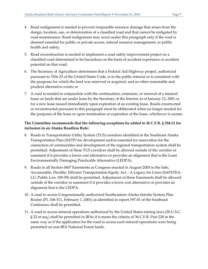- 4. Road realignment is needed to prevent irreparable resource damage that arises from the design, location, use, or deterioration of a classified road and that cannot be mitigated by road maintenance. Road realignment may occur under this paragraph only if the road is deemed essential for public or private access, natural resource management, or public health and safety;
- 5. Road reconstruction is needed to implement a road safety improvement project on a classified road determined to be hazardous on the basis of accident experience or accident potential on that road;
- 6. The Secretary of Agriculture determines that a Federal Aid Highway project, authorized pursuant to Title 23 of the United States Code, is in the public interest or is consistent with the purposes for which the land was reserved or acquired, and no other reasonable and prudent alternative exists; or
- 7. A road is needed in conjunction with the continuation, extension, or renewal of a mineral lease on lands that are under lease by the Secretary of the Interior as of January 12, 2001 or for a new lease issued immediately upon expiration of an existing lease. Roads constructed or reconstructed pursuant to this paragraph must be obliterated when no longer needed for the purposes of the lease or upon termination or expiration of the lease, whichever is sooner.

## **The Committee recommends that the following exceptions be added to 36 C.F.R. § 294.12 for inclusion in an Alaska Roadless Rule:**

- 8. Roads in Transportation Utility System (TUS) corridors identified in the Southeast Alaska Transportation Plan (SATP) for development and/or essential for reservation for the connection of communities and development of the regional transportation system shall be permitted. Adjustment of these TUS corridors shall be allowed outside of the corridor or easement if it provides a lower cost alternative or provides an alignment that is the Least Environmentally Damaging Practicable Alternative (LEDPA).
- 9. Roads in all Section 4407 Easements as Congress enacted in August 2005 in the Safe, Accountable, Flexible, Efficient Transportation Equity Act – A Legacy for Users (SAFETEA-LU; Public Law 109-59) shall be permitted. Adjustment of these Easements shall be allowed outside of the corridor or easement if it provides a lower cost alternative or provides an alignment that is the LEDPA.
- 10. A road to access Congressionally-authorized Southeastern Alaska Intertie System Plan Routes (PL 106-511, February 1, 2001) as identified in report #97-01 of the Southeast Conference shall be permitted.
- 11. A road to access mineral operations authorized by the United States mining laws (30 U.S.C. § 22 et seq.) shall be permitted in IRAs if it meets the criteria of 36 C.F.R. Part 228 in the same way as if the application for the road to access such mineral operations were being permitted on non-IRA National Forest lands.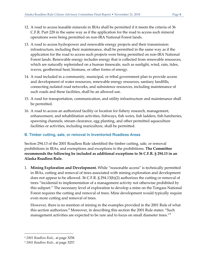- 12. A road to access leasable minerals in IRAs shall be permitted if it meets the criteria of 36 C.F.R. Part 228 in the same way as if the application for the road to access such mineral operations were being permitted on non-IRA National Forest lands.
- 13. A road to access hydropower and renewable energy projects and their transmission infrastructure, including their maintenance, shall be permitted in the same way as if the application for the road to access such projects were being permitted on non-IRA National Forest lands. Renewable energy includes energy that is collected from renewable resources, which are naturally replenished on a human timescale, such as sunlight, wind, rain, tides, waves, geothermal heat, biomass, or other forms of energy.
- 14. A road included in a community, municipal, or tribal government plan to provide access and development of water resources, renewable energy resources, sanitary landfills, connecting isolated road networks, and subsistence resources, including maintenance of such roads and these facilities, shall be an allowed use.
- 15. A road for transportation, communication, and utility infrastructure and maintenance shall be permitted.
- 16. A road to access an authorized facility or location for fishery research, management, enhancement, and rehabilitation activities, fishways, fish weirs, fish ladders, fish hatcheries, spawning channels, stream clearance, egg planting, and other permitted aquaculture facilities or activities, including mariculture, shall be permitted.

#### <span id="page-9-0"></span>**B. Timber cutting, sale, or removal in Inventoried Roadless Areas**

Section 294.13 of the 2001 Roadless Rule identified the timber cutting, sale, or removal prohibitions in IRAs, and exemptions and exceptions to the prohibitions. **The Committee recommends the following be included as additional exceptions to 36 C.F.R. § 294.13 in an Alaska Roadless Rule.**

1. **Mining Exploration and Development.** While "reasonable access" is technically permitted in IRAs, cutting and removal of trees associated with mining exploration and development does not appear to be allowed. 36 C.F.R. § 294.13(b)(2) authorizes the cutting or removal of trees "incidental to implementation of a management activity not otherwise prohibited by this subpart." The necessary level of exploration to develop a mine on the Tongass National Forest requires the cutting and removal of trees. Mine development would typically require even more cutting and removal of trees.

However, there is no mention of mining in the examples provided in the 2001 Rule of what this section authorizes.<sup>4</sup> Moreover, in describing this section the 2001 Rule states: "Such management activities are expected to be rare and to focus on small diameter trees."<sup>5</sup>

<sup>4</sup> *2001 Roadless Rule.,* at page 3258.

<sup>5</sup> *2001 Roadless Rule.,* at page 3257.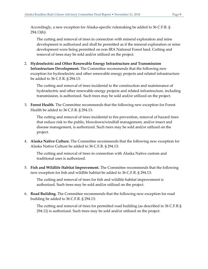Accordingly, a new exception for Alaska-specific rulemaking be added to 36 C.F.R. § 294.13(b):

The cutting and removal of trees in connection with mineral exploration and mine development is authorized and shall be permitted as if the mineral exploration or mine development were being permitted on non-IRA National Forest land. Cutting and removal of trees may be sold and/or utilized on the project.

2. **Hydroelectric and Other Renewable Energy Infrastructure and Transmission Infrastructure Development.** The Committee recommends that the following new exception for hydroelectric and other renewable energy projects and related infrastructure be added to 36 C.F.R. § 294.13:

The cutting and removal of trees incidental to the construction and maintenance of hydroelectric and other renewable energy projects and related infrastructure, including transmission, is authorized. Such trees may be sold and/or utilized on the project.

3. **Forest Health.** The Committee recommends that the following new exception for Forest Health be added to 36 C.F.R. § 294.13:

The cutting and removal of trees incidental to fire prevention, removal of hazard trees that reduce risk to the public, blowdown/windfall management, and/or insect and disease management, is authorized. Such trees may be sold and/or utilized on the project.

4. **Alaska Native Culture.** The Committee recommends that the following new exception for Alaska Native Culture be added to 36 C.F.R. § 294.13:

The cutting and removal of trees in connection with Alaska Native custom and traditional uses is authorized.

5. **Fish and Wildlife Habitat Improvement.** The Committee recommends that the following new exception for fish and wildlife habitat be added to 36 C.F.R. § 294.13:

The cutting and removal of trees for fish and wildlife habitat improvement is authorized. Such trees may be sold and/or utilized on the project.

6. **Road Building.** The Committee recommends that the following new exception for road building be added to 36 C.F.R. § 294.13:

The cutting and removal of trees for permitted road building (as described in 36 C.F.R § 294.12) is authorized. Such trees may be sold and/or utilized on the project.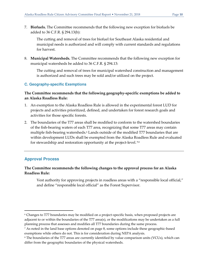7. **Biofuels.** The Committee recommends that the following new exception for biofuels be added to 36 C.F.R. § 294.13(b):

The cutting and removal of trees for biofuel for Southeast Alaska residential and municipal needs is authorized and will comply with current standards and regulations for harvest.

8. **Municipal Watersheds.** The Committee recommends that the following new exception for municipal watersheds be added to 36 C.F.R. § 294.13:

The cutting and removal of trees for municipal watershed construction and management is authorized and such trees may be sold and/or utilized on the project.

#### <span id="page-11-0"></span>**C. Geography-specific Exemptions**

#### **The Committee recommends that the following geography-specific exemptions be added to an Alaska Roadless Rule:**

- 1. An exemption to the Alaska Roadless Rule is allowed in the experimental forest LUD for projects and activities prioritized, defined, and undertaken for forest research goals and activities for those specific forests.
- 2. The boundaries of the T77 areas shall be modified to conform to the watershed boundaries of the fish-bearing waters of each T77 area, recognizing that some T77 areas may contain multiple fish-bearing watersheds.<sup>6</sup> Lands outside of the modified T77 boundaries that are within development LUDs shall be exempted from the Alaska Roadless Rule and evaluated for stewardship and restoration opportunity at the project-level.**<sup>7</sup>**,8

#### <span id="page-11-1"></span>**Approval Process**

#### **The Committee recommends the following changes to the approval process for an Alaska Roadless Rule:**

Vest authority for approving projects in roadless areas with a "responsible local official," and define "responsible local official" as the Forest Supervisor.

<sup>6</sup> Changes to T77 boundaries may be modified on a project-specific basis, when proposed projects are adjacent to or within the boundaries of the T77 area(s), or the modifications may be undertaken as a full planning process that assesses and modifies all T77 boundaries during the same process.

<sup>7</sup> As noted in the land base options denoted on page 8, some options include these geographic-based exemptions while others do not. This is for consideration during NEPA analysis.

 $^{\rm 8}$  The boundaries of the T77 areas are currently identified by value comparison units (VCUs), which can differ from the geographic boundaries of the physical watersheds.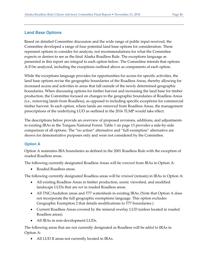#### <span id="page-12-0"></span>**Land Base Options**

Based on detailed Committee discussion and the wide range of public input received, the Committee developed a range of four potential land base options for consideration. These represent options to consider for analysis, not recommendations for what the Committee expects or desires to see as the final Alaska Roadless Rule. The exceptions language as presented in this report are integral to each option below. The Committee intends that options A-D be analyzed, including the exceptions outlined above as components of each option.

While the exceptions language provides for opportunities for access for specific activities, the land base options revise the geographic boundaries of the Roadless Areas, thereby allowing for increased access and activities in areas that fall outside of the newly determined geographic boundaries. When discussing options for timber harvest and increasing the land base for timber production, the Committee focused on changes to the geographic boundaries of Roadless Areas (i.e., removing lands from Roadless), as opposed to including specific exceptions for commercial timber harvest. In each option, where lands are removed from Roadless Areas, the management prescriptions of the underlying LUD as outlined in the 2016 TLMP would take effect.

The descriptions below provide an overview of proposed revisions, additions, and adjustments to existing IRAs in the Tongass National Forest. Table 1 on page 13 provides a side-by-side comparison of all options. The "no action" alternative and "full exemption" alternative are shown for demonstrative purposes only and were not considered by the Committee.

#### <span id="page-12-1"></span>**Option A**

Option A maintains IRA boundaries as defined in the 2001 Roadless Rule with the exception of roaded Roadless areas.

The following currently designated Roadless Areas will be *removed* from IRAs in Option A:

• Roaded Roadless areas.

The following currently designated Roadless areas will be *retained* (remain) in IRAs in Option A:

- All existing Roadless Areas in timber production, scenic viewshed, and modified landscape LUDs that are *not* in roaded Roadless areas.
- All TNC/Audubon areas and T77 watersheds in existing IRAs. (Note that Option A does not incorporate the full geographic exemptions language. This option excludes Geographic Exemption 2 that details modifications to T77 boundaries.)
- Current Roadless Areas covered by the mineral overlay LUD (unless located in roaded Roadless areas).
- All IRAs in non-development LUDs.

The following areas that are not currently designated as Roadless will be *added* to IRAs in Option A:

• All LUD II areas not currently located in IRAs.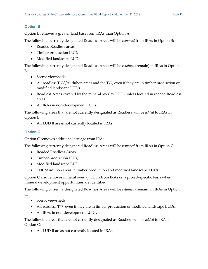# <span id="page-13-0"></span>**Option B**

Option B removes a greater land base from IRAs than Option A.

The following currently designated Roadless Areas will be *removed* from IRAs in Option B:

- Roaded Roadless areas,
- Timber production LUD.
- Modified landscape LUD.

The following currently designated Roadless Areas will be *retained* (remain) in IRAs in Option B:

- Scenic viewsheds.
- All roadless TNC/Audubon areas and the T77, even if they are in timber production or modified landscape LUDs.
- Roadless Areas covered by the mineral overlay LUD (unless located in roaded Roadless areas).
- All IRAs in non-development LUDs.

The following areas that are not currently designated as Roadless will be *added* to IRAs in Option B:

• All LUD II areas not currently located in IRAs.

# <span id="page-13-1"></span>**Option C**

Option C removes additional acreage from IRAs.

The following currently designated Roadless Areas will be *removed* from IRAs in Option C:

- Roaded Roadless Areas,
- Timber production LUD,
- Modified landscape LUD.
- TNC/Audubon areas in timber production and modified landscape LUDs.

Option C also removes mineral overlay LUDs from IRAs on a project-specific basis when mineral development opportunities are identified.

The following currently designated Roadless Areas will be *retained* (remain) in IRAs in Option  $C:$ 

- Scenic viewsheds
- All roadless T77, even if they are in timber production or modified landscape LUDs.
- All IRAs in non-development LUDs.

The following areas that are not currently designated as Roadless will be *added* to IRAs in Option C:

• All LUD II areas not currently located in IRAs.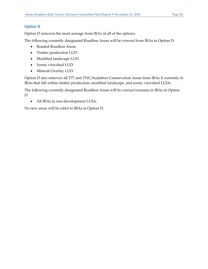## <span id="page-14-0"></span>**Option D**

Option D removes the most acreage from IRAs of all of the options.

The following currently designated Roadless Areas will be *removed* from IRAs in Option D:

- Roaded Roadless Areas.
- Timber production LUD.
- Modified landscape LUD.
- Scenic viewshed LUD.
- Mineral Overlay LUD.

Option D also removes all T77 and TNC/Audubon Conservation Areas from IRAs if currently in IRAs that fall within timber production, modified landscape, and scenic viewshed LUDs.

The following currently designated Roadless Areas will be *retained* (remain) in IRAs in Option D:

• All IRAs in non-development LUDs.

No new areas will be *added* to IRAs in Option D.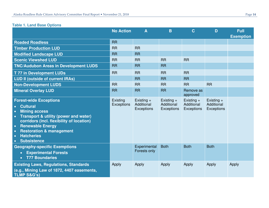# **Table 1. Land Base Options**

<span id="page-15-0"></span>

|                                                                                                                                                                                                                                                                                                                                                                        | <b>No Action</b>              | A                                        | B                                        | $\mathbf C$                              | D                                        | <b>Full</b><br><b>Exemption</b> |
|------------------------------------------------------------------------------------------------------------------------------------------------------------------------------------------------------------------------------------------------------------------------------------------------------------------------------------------------------------------------|-------------------------------|------------------------------------------|------------------------------------------|------------------------------------------|------------------------------------------|---------------------------------|
| <b>Roaded Roadless</b>                                                                                                                                                                                                                                                                                                                                                 | <b>RR</b>                     |                                          |                                          |                                          |                                          |                                 |
| <b>Timber Production LUD</b>                                                                                                                                                                                                                                                                                                                                           | <b>RR</b>                     | <b>RR</b>                                |                                          |                                          |                                          |                                 |
| <b>Modified Landscape LUD</b>                                                                                                                                                                                                                                                                                                                                          | <b>RR</b>                     | <b>RR</b>                                |                                          |                                          |                                          |                                 |
| <b>Scenic Viewshed LUD</b>                                                                                                                                                                                                                                                                                                                                             | <b>RR</b>                     | <b>RR</b>                                | <b>RR</b>                                | <b>RR</b>                                |                                          |                                 |
| <b>TNC/Audubon Areas in Development LUDS</b>                                                                                                                                                                                                                                                                                                                           | <b>RR</b>                     | <b>RR</b>                                | <b>RR</b>                                |                                          |                                          |                                 |
| <b>T77 in Development LUDs</b>                                                                                                                                                                                                                                                                                                                                         | <b>RR</b>                     | <b>RR</b>                                | <b>RR</b>                                | <b>RR</b>                                |                                          |                                 |
| <b>LUD II (outside of current IRAs)</b>                                                                                                                                                                                                                                                                                                                                |                               | <b>RR</b>                                | <b>RR</b>                                | <b>RR</b>                                |                                          |                                 |
| <b>Non-Development LUDS</b>                                                                                                                                                                                                                                                                                                                                            | <b>RR</b>                     | <b>RR</b>                                | <b>RR</b>                                | <b>RR</b>                                | <b>RR</b>                                |                                 |
| <b>Mineral Overlay LUD</b>                                                                                                                                                                                                                                                                                                                                             | <b>RR</b>                     | <b>RR</b>                                | <b>RR</b>                                | Remove as<br>approved                    |                                          |                                 |
| <b>Forest-wide Exceptions</b><br><b>Cultural</b><br>$\bullet$<br><b>Mining access</b><br>$\bullet$<br>Transport & utility (power and water)<br>$\bullet$<br>corridors (incl. flexibility of location)<br><b>Renewable Energy</b><br>$\bullet$<br><b>Restoration &amp; management</b><br>$\bullet$<br><b>Hatcheries</b><br>$\bullet$<br><b>Subsistence</b><br>$\bullet$ | Existing<br><b>Exceptions</b> | Existing $+$<br>Additional<br>Exceptions | Existing $+$<br>Additional<br>Exceptions | Existing $+$<br>Additional<br>Exceptions | Existing $+$<br>Additional<br>Exceptions |                                 |
| <b>Geography-specific Exemptions</b><br><b>Experimental Forests</b><br>$\bullet$<br><b>T77 Boundaries</b>                                                                                                                                                                                                                                                              |                               | Experimental<br>Forests only             | <b>Both</b>                              | <b>Both</b>                              | <b>Both</b>                              |                                 |
| <b>Existing Laws, Regulations, Standards</b><br>(e.g., Mining Law of 1872, 4407 easements,<br><b>TLMP S&amp;G's)</b>                                                                                                                                                                                                                                                   | Apply                         | Apply                                    | Apply                                    | Apply                                    | Apply                                    | Apply                           |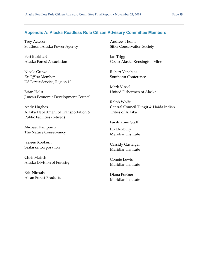#### <span id="page-16-0"></span>**Appendix A: Alaska Roadless Rule Citizen Advisory Committee Members**

Trey Acteson Southeast Alaska Power Agency

Bert Burkhart Alaska Forest Association

Nicole Grewe *Ex Officio* Member US Forest Service, Region 10

Brian Holst Juneau Economic Development Council

Andy Hughes Alaska Department of Transportation & Public Facilities (retired)

Michael Kampnich The Nature Conservancy

Jaeleen Kookesh Sealaska Corporation

Chris Maisch Alaska Division of Forestry

Eric Nichols Alcan Forest Products Andrew Thoms Sitka Conservation Society

Jan Trigg Coeur Alaska Kensington Mine

Robert Venables Southeast Conference

Mark Vinsel United Fishermen of Alaska

Ralph Wolfe Central Council Tlingit & Haida Indian Tribes of Alaska

#### **Facilitation Staff**

Liz Duxbury Meridian Institute

Cassidy Gasteiger Meridian Institute

Connie Lewis Meridian Institute

Diana Portner Meridian Institute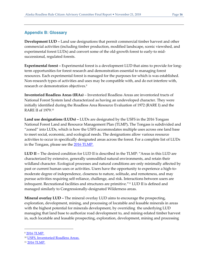# <span id="page-17-0"></span>**Appendix B: Glossary**

**Development LUD –** Land use designations that permit commercial timber harvest and other commercial activities (including timber production, modified landscape, scenic viewshed, and experimental forest LUDs) and convert some of the old-growth forest to early-to midsuccessional, regulated forests.

**Experimental forest –** Experimental forest is a development LUD that aims to provide for longterm opportunities for forest research and demonstration essential to managing forest resources. Each experimental forest is managed for the purposes for which is was established. Non-research types of activities and uses may be compatible with, and do not interfere with, research or demonstration objectives.<sup>9</sup>

**Inventoried Roadless Areas (IRAs)** – Inventoried Roadless Areas are inventoried tracts of National Forest System land characterized as having an undeveloped character. They were initially identified during the Roadless Area Resource Evaluation of 1972 (RARE I) and the RARE II of 1979.<sup>10</sup>

**Land use designations (LUDs) –** LUDs are designated by the USFS in the 2016 Tongass National Forest Land and Resource Management Plan (TLMP)**.** The Tongass is subdivided and "zoned" into LUDs, which is how the USFS accommodates multiple uses across one land base to meet social, economic, and ecological needs. The designations allow various resource activities to occur in specifically designated areas across the forest. For a complete list of LUDs in the Tongass, please see the [2016 TLMP.](https://www.fs.usda.gov/Internet/FSE_DOCUMENTS/fseprd527907.pdf) 

**LUD II –** The desired condition for LUD II is described in the TLMP: "Areas in this LUD are characterized by extensive, generally unmodified natural environments, and retain their wildland character. Ecological processes and natural conditions are only minimally affected by past or current human uses or activities. Users have the opportunity to experience a high-tomoderate degree of independence, closeness to nature, solitude, and remoteness, and may pursue activities requiring self-reliance, challenge, and risk. Interactions between users are infrequent. Recreational facilities and structures are primitive."11 LUD II is defined and managed similarly to Congressionally-designated Wilderness areas.

**Mineral overlay LUD –** The mineral overlay LUD aims to encourage the prospecting, exploration, development, mining, and processing of locatable and leasable minerals in areas with the highest potential for minerals development, by overriding the underlying LUD managing that land base to authorize road development to, and mining-related timber harvest in, such locatable and leasable prospecting, exploration, development, mining and processing

<sup>9</sup> [2016 TLMP.](https://www.fs.usda.gov/Internet/FSE_DOCUMENTS/fseprd527907.pdf)

<sup>&</sup>lt;sup>10</sup> [USFS, Inventoried Roadless Areas.](https://www.fs.usda.gov/Internet/FSE_DOCUMENTS/stelprdb5196563.pdf)

<sup>11</sup> [2016 TLMP.](https://www.fs.usda.gov/Internet/FSE_DOCUMENTS/fseprd527907.pdf)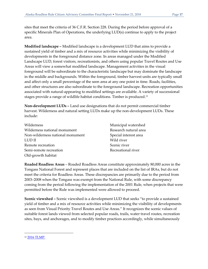sites that meet the criteria of 36 C.F.R. Section 228. During the period before approval of a specific Minerals Plan of Operations, the underlying LUD(s) continue to apply to the project area.

**Modified landscape –** Modified landscape is a development LUD that aims to provide a sustained yield of timber and a mix of resource activities while minimizing the visibility of developments in the foreground distance zone. In areas managed under the Modified Landscape LUD, forest visitors, recreationists, and others using popular Travel Routes and Use Areas will view a somewhat modified landscape. Management activities in the visual foreground will be subordinate to the characteristic landscape but may dominate the landscape in the middle and backgrounds. Within the foreground, timber harvest units are typically small and affect only a small percentage of the seen area at any one point in time. Roads, facilities, and other structures are also subordinate to the foreground landscape. Recreation opportunities associated with natural-appearing to modified settings are available. A variety of successional stages provide a range of wildlife habitat conditions. Timber is produced.<sup>12</sup>

**Non-development LUDs –** Land use designations that do not permit commercial timber harvest. Wilderness and natural setting LUDs make up the non-development LUDs. These include:

| Wilderness                       | Municipal watershed   |
|----------------------------------|-----------------------|
| Wilderness national monument     | Research natural area |
| Non-wilderness national monument | Special interest area |
| LUD II                           | Wild river            |
| Remote recreation                | Scenic river          |
| Semi-remote recreation           | Recreational river    |
| Old-growth habitat               |                       |

**Roaded Roadless Areas** – Roaded Roadless Areas constitute approximately 80,000 acres in the Tongass National Forest and represent places that are included on the list of IRAs, but do not meet the criteria for Roadless Areas. These discrepancies are primarily due to the period from 2003–2008 when the Tongass was exempt from the National Rule, with some discrepancy coming from the period following the implementation of the 2001 Rule, when projects that were permitted before the Rule was implemented were allowed to proceed.

**Scenic viewshed –** Scenic viewshed is a development LUD that seeks "to provide a sustained yield of timber and a mix of resource activities while minimizing the visibility of developments as seen from Visual Priority Travel Routes and Use Areas." It recognizes the scenic values of suitable forest lands viewed from selected popular roads, trails, water travel routes, recreation sites, bays, and anchorages, and to modify timber practices accordingly, while simultaneously

<sup>12</sup> [2016 TLMP.](https://www.fs.usda.gov/Internet/FSE_DOCUMENTS/fseprd527907.pdf)